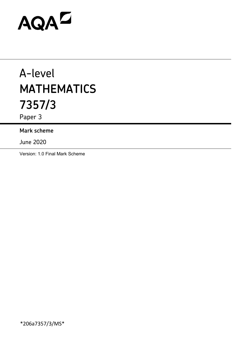# AQAD

# A-level **MATHEMATICS 7357/3**

Paper 3

## **Mark scheme**

June 2020

Version: 1.0 Final Mark Scheme

\*206a7357/3/MS\*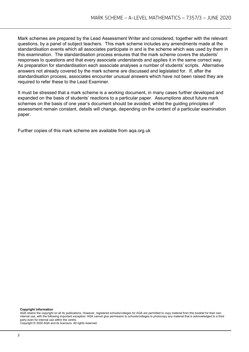Mark schemes are prepared by the Lead Assessment Writer and considered, together with the relevant questions, by a panel of subject teachers. This mark scheme includes any amendments made at the standardisation events which all associates participate in and is the scheme which was used by them in this examination. The standardisation process ensures that the mark scheme covers the students' responses to questions and that every associate understands and applies it in the same correct way. As preparation for standardisation each associate analyses a number of students' scripts. Alternative answers not already covered by the mark scheme are discussed and legislated for. If, after the standardisation process, associates encounter unusual answers which have not been raised they are required to refer these to the Lead Examiner.

It must be stressed that a mark scheme is a working document, in many cases further developed and expanded on the basis of students' reactions to a particular paper. Assumptions about future mark schemes on the basis of one year's document should be avoided; whilst the guiding principles of assessment remain constant, details will change, depending on the content of a particular examination paper.

Further copies of this mark scheme are available from aqa.org.uk

#### **Copyright information**

AQA retains the copyright on all its publications. However, registered schools/colleges for AQA are permitted to copy material from this booklet for their own internal use, with the following important exception: AQA cannot give permission to schools/colleges to photocopy any material that is acknowledged to a third party even for internal use within the centre.

Copyright © 2020 AQA and its licensors. All rights reserved.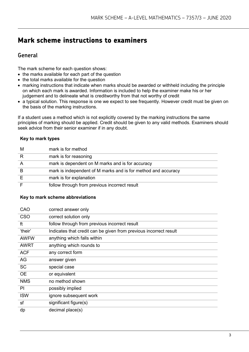# **Mark scheme instructions to examiners**

### **General**

The mark scheme for each question shows:

- the marks available for each part of the question
- the total marks available for the question
- marking instructions that indicate when marks should be awarded or withheld including the principle on which each mark is awarded. Information is included to help the examiner make his or her judgement and to delineate what is creditworthy from that not worthy of credit
- a typical solution. This response is one we expect to see frequently. However credit must be given on the basis of the marking instructions.

If a student uses a method which is not explicitly covered by the marking instructions the same principles of marking should be applied. Credit should be given to any valid methods. Examiners should seek advice from their senior examiner if in any doubt.

#### **Key to mark types**

| м | mark is for method                                            |
|---|---------------------------------------------------------------|
|   | mark is for reasoning                                         |
|   | mark is dependent on M marks and is for accuracy              |
|   | mark is independent of M marks and is for method and accuracy |
|   | mark is for explanation                                       |
|   | follow through from previous incorrect result                 |

#### **Key to mark scheme abbreviations**

| correct answer only                                               |
|-------------------------------------------------------------------|
| correct solution only                                             |
| follow through from previous incorrect result                     |
| Indicates that credit can be given from previous incorrect result |
| anything which falls within                                       |
| anything which rounds to                                          |
| any correct form                                                  |
| answer given                                                      |
| special case                                                      |
| or equivalent                                                     |
| no method shown                                                   |
| possibly implied                                                  |
| ignore subsequent work                                            |
| significant figure(s)                                             |
| decimal place(s)                                                  |
|                                                                   |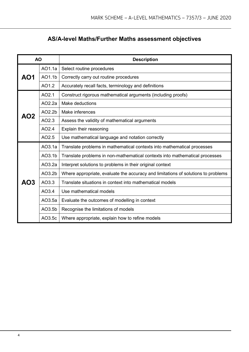# **AS/A-level Maths/Further Maths assessment objectives**

| <b>AO</b> |        | <b>Description</b>                                                                |  |  |  |  |
|-----------|--------|-----------------------------------------------------------------------------------|--|--|--|--|
|           | AO1.1a | Select routine procedures                                                         |  |  |  |  |
| AO1       | AO1.1b | Correctly carry out routine procedures                                            |  |  |  |  |
|           | AO1.2  | Accurately recall facts, terminology and definitions                              |  |  |  |  |
|           | AO2.1  | Construct rigorous mathematical arguments (including proofs)                      |  |  |  |  |
|           | AO2.2a | Make deductions                                                                   |  |  |  |  |
| AO2       | AO2.2b | Make inferences                                                                   |  |  |  |  |
|           | AO2.3  | Assess the validity of mathematical arguments                                     |  |  |  |  |
|           | AO2.4  | Explain their reasoning                                                           |  |  |  |  |
|           | AO2.5  | Use mathematical language and notation correctly                                  |  |  |  |  |
|           | AO3.1a | Translate problems in mathematical contexts into mathematical processes           |  |  |  |  |
|           | AO3.1b | Translate problems in non-mathematical contexts into mathematical processes       |  |  |  |  |
|           | AO3.2a | Interpret solutions to problems in their original context                         |  |  |  |  |
|           | AO3.2b | Where appropriate, evaluate the accuracy and limitations of solutions to problems |  |  |  |  |
| AO3       | AO3.3  | Translate situations in context into mathematical models                          |  |  |  |  |
|           | AO3.4  | Use mathematical models                                                           |  |  |  |  |
|           | AO3.5a | Evaluate the outcomes of modelling in context                                     |  |  |  |  |
|           | AO3.5b | Recognise the limitations of models                                               |  |  |  |  |
|           | AO3.5c | Where appropriate, explain how to refine models                                   |  |  |  |  |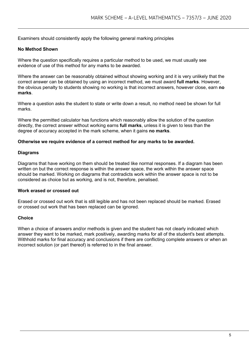Examiners should consistently apply the following general marking principles

#### **No Method Shown**

Where the question specifically requires a particular method to be used, we must usually see evidence of use of this method for any marks to be awarded.

Where the answer can be reasonably obtained without showing working and it is very unlikely that the correct answer can be obtained by using an incorrect method, we must award **full marks**. However, the obvious penalty to students showing no working is that incorrect answers, however close, earn **no marks**.

Where a question asks the student to state or write down a result, no method need be shown for full marks.

Where the permitted calculator has functions which reasonably allow the solution of the question directly, the correct answer without working earns **full marks**, unless it is given to less than the degree of accuracy accepted in the mark scheme, when it gains **no marks**.

#### **Otherwise we require evidence of a correct method for any marks to be awarded.**

#### **Diagrams**

Diagrams that have working on them should be treated like normal responses. If a diagram has been written on but the correct response is within the answer space, the work within the answer space should be marked. Working on diagrams that contradicts work within the answer space is not to be considered as choice but as working, and is not, therefore, penalised.

#### **Work erased or crossed out**

Erased or crossed out work that is still legible and has not been replaced should be marked. Erased or crossed out work that has been replaced can be ignored.

#### **Choice**

When a choice of answers and/or methods is given and the student has not clearly indicated which answer they want to be marked, mark positively, awarding marks for all of the student's best attempts. Withhold marks for final accuracy and conclusions if there are conflicting complete answers or when an incorrect solution (or part thereof) is referred to in the final answer.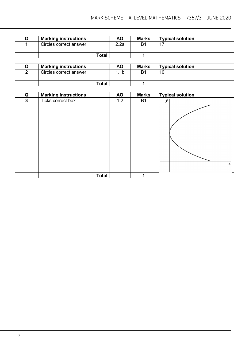| <b>Marking instructions</b> | ΑO   | <b>Marks</b> | <b>Typical solution</b> |
|-----------------------------|------|--------------|-------------------------|
| Circles correct answer      | 2.2a | Β1           |                         |
| <b>Total</b>                |      |              |                         |

| <b>Marking instructions</b> | ΑO  | <b>Marks</b> | <b>Typical solution</b> |
|-----------------------------|-----|--------------|-------------------------|
| Circles correct answer      | .1b | B1           | 10                      |
| <b>Total</b>                |     |              |                         |

| Q           | <b>Marking instructions</b> | <b>AO</b> | <b>Marks</b> | <b>Typical solution</b>        |
|-------------|-----------------------------|-----------|--------------|--------------------------------|
| $\mathbf 3$ | Ticks correct box           | 1.2       | <b>B1</b>    | $\mathcal{Y}$<br>$\mathcal{X}$ |
|             | <b>Total</b>                |           | 1            |                                |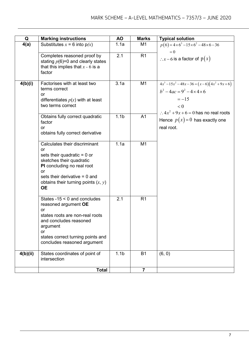| Q        | <b>Marking instructions</b>                                                                                                                                                                                                   | <b>AO</b>        | <b>Marks</b>   | <b>Typical solution</b>                                                                                                                                                       |
|----------|-------------------------------------------------------------------------------------------------------------------------------------------------------------------------------------------------------------------------------|------------------|----------------|-------------------------------------------------------------------------------------------------------------------------------------------------------------------------------|
| 4(a)     | Substitutes $x = 6$ into $p(x)$                                                                                                                                                                                               | 1.1a             | M <sub>1</sub> | $p(6) = 4 \times 6^3 - 15 \times 6^2 - 48 \times 6 - 36$<br>$= 0$                                                                                                             |
|          | Completes reasoned proof by<br>stating $p(6)=0$ and clearly states<br>that this implies that $x - 6$ is a<br>factor                                                                                                           | 2.1              | R <sub>1</sub> | $\therefore x - 6$ is a factor of $p(x)$                                                                                                                                      |
| 4(b)(i)  | Factorises with at least two<br>terms correct<br>or<br>differentiates $p(x)$ with at least<br>two terms correct                                                                                                               | 3.1a             | M <sub>1</sub> | $4x^3 - 15x^2 - 48x - 36 = (x - 6)(4x^2 + 9x + 6)$<br>$b^2 - 4ac = 9^2 - 4 \times 4 \times 6$<br>$=-15$<br>< 0<br>$\therefore$ 4x <sup>2</sup> + 9x + 6 = 0 has no real roots |
|          | Obtains fully correct quadratic<br>factor<br>or<br>obtains fully correct derivative                                                                                                                                           | 1.1 <sub>b</sub> | A <sub>1</sub> | Hence $p(x)=0$ has exactly one<br>real root.                                                                                                                                  |
|          | Calculates their discriminant<br>or<br>sets their quadratic $= 0$ or<br>sketches their quadratic<br>PI concluding no real root<br>or<br>sets their derivative $= 0$ and<br>obtains their turning points $(x, y)$<br><b>OE</b> | 1.1a             | M <sub>1</sub> |                                                                                                                                                                               |
|          | States $-15 < 0$ and concludes<br>reasoned argument OE<br>or<br>states roots are non-real roots<br>and concludes reasoned<br>argument<br>or<br>states correct turning points and<br>concludes reasoned argument               | 2.1              | R <sub>1</sub> |                                                                                                                                                                               |
| 4(b)(ii) | States coordinates of point of<br>intersection                                                                                                                                                                                | 1.1 <sub>b</sub> | <b>B1</b>      | (6, 0)                                                                                                                                                                        |
|          | <b>Total</b>                                                                                                                                                                                                                  |                  | $\overline{7}$ |                                                                                                                                                                               |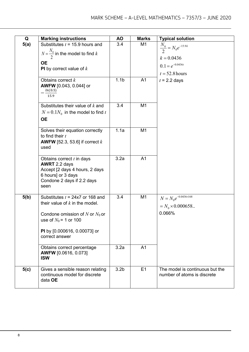| Q    | <b>Marking instructions</b>                                                                                                                                                             | ΑO               | <b>Marks</b>   | <b>Typical solution</b>                                             |
|------|-----------------------------------------------------------------------------------------------------------------------------------------------------------------------------------------|------------------|----------------|---------------------------------------------------------------------|
| 5(a) | Substitutes $t = 15.9$ hours and                                                                                                                                                        | 3.4              | M1             |                                                                     |
|      | $N = \frac{N_0}{I}$ in the model to find k                                                                                                                                              |                  |                | $\frac{N_0}{2} = N_0 e^{-15.9k}$                                    |
|      |                                                                                                                                                                                         |                  |                | $k = 0.0436$                                                        |
|      | <b>OE</b>                                                                                                                                                                               |                  |                | $0.1 = e^{-0.0436t}$                                                |
|      | <b>PI</b> by correct value of $k$                                                                                                                                                       |                  |                | $t = 52.8$ hours                                                    |
|      | Obtains correct $k$<br><b>AWFW</b> [0.043, 0.044] or<br>ln(0.5)<br>15.9                                                                                                                 | 1.1 <sub>b</sub> | A <sub>1</sub> | $t = 2.2$ days                                                      |
|      | Substitutes their value of $k$ and<br>$N = 0.1 N_0$ in the model to find t                                                                                                              | 3.4              | M <sub>1</sub> |                                                                     |
|      | <b>OE</b>                                                                                                                                                                               |                  |                |                                                                     |
|      | Solves their equation correctly<br>to find their $t$<br><b>AWFW</b> [52.3, 53.6] if correct $k$<br>used                                                                                 | 1.1a             | M <sub>1</sub> |                                                                     |
|      | Obtains correct $t$ in days<br><b>AWRT</b> 2.2 days<br>Accept [2 days 4 hours, 2 days<br>6 hours] or 3 days<br>Condone 2 days if 2.2 days<br>seen                                       | 3.2a             | A <sub>1</sub> |                                                                     |
| 5(b) | Substitutes $t = 24x7$ or 168 and<br>their value of $k$ in the model.<br>Condone omission of N or $N_0$ or<br>use of $N_0$ = 1 or 100<br>PI by [0.000616, 0.00073] or<br>correct answer | 3.4              | M1             | $N = N_0 e^{-0.0436 \times 168}$<br>$N_0 \times 0.000658$<br>0.066% |
|      | Obtains correct percentage<br>AWFW [0.0616, 0.073]<br><b>ISW</b>                                                                                                                        | 3.2a             | A <sub>1</sub> |                                                                     |
| 5(c) | Gives a sensible reason relating<br>continuous model for discrete<br>data OE                                                                                                            | 3.2 <sub>b</sub> | E1             | The model is continuous but the<br>number of atoms is discrete      |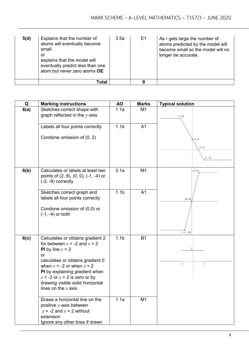| 5(d) | Explains that the number of<br>atoms will eventually become<br>small<br>or<br>explains that the model will<br>eventually predict less than one<br>atom but never zero atoms OE | 3.5a | E1 | As $t$ gets large the number of<br>atoms predicted by the model will<br>become small so the model will no<br>longer be accurate. |
|------|--------------------------------------------------------------------------------------------------------------------------------------------------------------------------------|------|----|----------------------------------------------------------------------------------------------------------------------------------|
|      | Total                                                                                                                                                                          |      | 9  |                                                                                                                                  |

| Q    | <b>Marking instructions</b>                                                                                                                                                                                                                                                                                      | <b>AO</b>        | <b>Marks</b>   | <b>Typical solution</b>       |
|------|------------------------------------------------------------------------------------------------------------------------------------------------------------------------------------------------------------------------------------------------------------------------------------------------------------------|------------------|----------------|-------------------------------|
| 6(a) | Sketches correct shape with<br>graph reflected in the $y$ -axis                                                                                                                                                                                                                                                  | 1.1a             | M <sub>1</sub> | $(-2, 6)$                     |
|      | Labels all four points correctly<br>Condone omission of (0, 2)                                                                                                                                                                                                                                                   | 1.1 <sub>b</sub> | A <sub>1</sub> | (0, 2)<br>(1, 0)<br>$(2, -2)$ |
| 6(b) | Calculates or labels at least two<br>points of (2, 8), (0, 0), (-1, -4) or<br>$(-2, -8)$ correctly                                                                                                                                                                                                               | 3.1a             | M1             | (2, 8)                        |
|      | Sketches correct graph and<br>labels all four points correctly<br>Condone omission of (0,0) or<br>$(-1, -4)$ or both                                                                                                                                                                                             | 1.1 <sub>b</sub> | A <sub>1</sub> | (0, 0)<br>$(-2, -8)$          |
| 6(c) | Calculates or obtains gradient 2<br>for between $x = -2$ and $x = 2$<br><b>PI</b> by line $y = 2$<br>or<br>calculates or obtains gradient 0<br>when $x < -2$ or when $x > 2$<br>PI by explaining gradient when<br>$x < -2$ or $x > 2$ is zero or by<br>drawing visible solid horizontal<br>lines on the $x$ axis | 1.1 <sub>b</sub> | <b>B1</b>      | $\overline{2}$<br>2<br>$-2$   |
|      | Draws a horizontal line on the<br>positive $y$ -axis between<br>$x = -2$ and $x = 2$ without<br>extension<br>Ignore any other lines if drawn                                                                                                                                                                     | 1.1a             | M1             |                               |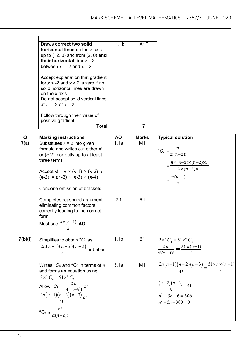| Draws correct two solid                  | 1.1 <sub>b</sub>                                                                                                                                                                                                                                                                                                                                                         | A1F |
|------------------------------------------|--------------------------------------------------------------------------------------------------------------------------------------------------------------------------------------------------------------------------------------------------------------------------------------------------------------------------------------------------------------------------|-----|
| <b>horizontal lines</b> on the $x$ -axis |                                                                                                                                                                                                                                                                                                                                                                          |     |
|                                          |                                                                                                                                                                                                                                                                                                                                                                          |     |
|                                          |                                                                                                                                                                                                                                                                                                                                                                          |     |
|                                          |                                                                                                                                                                                                                                                                                                                                                                          |     |
|                                          |                                                                                                                                                                                                                                                                                                                                                                          |     |
|                                          |                                                                                                                                                                                                                                                                                                                                                                          |     |
|                                          |                                                                                                                                                                                                                                                                                                                                                                          |     |
|                                          |                                                                                                                                                                                                                                                                                                                                                                          |     |
|                                          |                                                                                                                                                                                                                                                                                                                                                                          |     |
|                                          |                                                                                                                                                                                                                                                                                                                                                                          |     |
|                                          |                                                                                                                                                                                                                                                                                                                                                                          |     |
|                                          |                                                                                                                                                                                                                                                                                                                                                                          |     |
|                                          |                                                                                                                                                                                                                                                                                                                                                                          |     |
|                                          |                                                                                                                                                                                                                                                                                                                                                                          |     |
|                                          |                                                                                                                                                                                                                                                                                                                                                                          | 7   |
|                                          | up to $(-2, 0)$ and from $(2, 0)$ and<br>their horizontal line $y = 2$<br>between $x = -2$ and $x = 2$<br>Accept explanation that gradient<br>for $x < -2$ and $x > 2$ is zero if no<br>solid horizontal lines are drawn<br>on the x-axis<br>Do not accept solid vertical lines<br>at $x = -2$ or $x = 2$<br>Follow through their value of<br>positive gradient<br>Total |     |

| Q       | <b>Marking instructions</b>                                                                                                                                                                                                                                 | <b>AO</b>        | <b>Marks</b>   | <b>Typical solution</b>                                                                                                                      |
|---------|-------------------------------------------------------------------------------------------------------------------------------------------------------------------------------------------------------------------------------------------------------------|------------------|----------------|----------------------------------------------------------------------------------------------------------------------------------------------|
| 7(a)    | Substitutes $r = 2$ into given<br>formula and writes out either $n!$<br>or $(n-2)!$ correctly up to at least<br>three terms<br>Accept $n! = n \times (n-1) \times (n-2)!$ or<br>$(n-2)! = (n-2) \times (n-3) \times (n-4)!$<br>Condone omission of brackets | 1.1a             | M <sub>1</sub> | ${}^{n}C_{2} = \frac{n!}{2!(n-2)!}$<br>$=\frac{n\times(n-1)\times(n-2)\times}{2\times(n-2)\times}$<br>$=\frac{n(n-1)}{2}$                    |
|         | Completes reasoned argument,<br>eliminating common factors<br>correctly leading to the correct<br>form<br>Must see $\frac{n\times(n-1)}{2}$ AG                                                                                                              | 2.1              | R <sub>1</sub> |                                                                                                                                              |
| 7(b)(i) | Simplifies to obtain ${}^nC_4$ as<br>$\frac{2n(n-1)(n-2)(n-3)}{4!}$ or better                                                                                                                                                                               | 1.1 <sub>b</sub> | <b>B1</b>      | $2x^n C_4 = 51x^n C_2$<br>$\frac{2 n!}{4!(n-4)!} = \frac{51 n(n-1)}{2}$                                                                      |
|         | Writes ${}^nC_4$ and ${}^nC_2$ in terms of n<br>and forms an equation using<br>$2x^n C_1 = 51x^n C_2$<br>Allow ${}^nC_4 = \frac{2 n!}{4!(n-4)!}$ or<br>$\frac{2n(n-1)(n-2)(n-3)}{4!}$ or<br>${}^{n}C_{2} = \frac{n!}{2!(n-2)!}$                             | 3.1a             | M <sub>1</sub> | $\frac{2n(n-1)(n-2)(n-3)}{4!} = \frac{51 \times n \times (n-1)}{2}$<br>$\frac{(n-2)(n-3)}{6}$ = 51<br>$n^2-5n+6=306$<br>$n^2 - 5n - 300 = 0$ |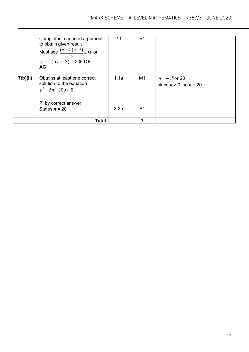|          | Completes reasoned argument<br>to obtain given result<br>Must see $\frac{(n-2)(n-3)}{2} = 51$ or<br>6<br>$(n-2)$ $(n-3)$ = 306 <b>OE</b><br><b>AG</b> | 2.1  | R <sub>1</sub> |                                                |
|----------|-------------------------------------------------------------------------------------------------------------------------------------------------------|------|----------------|------------------------------------------------|
| 7(b)(ii) | Obtains at least one correct<br>solution to the equation<br>$n^2 - 5n - 300 = 0$<br><b>PI</b> by correct answer                                       | 1.1a | M1             | $n = -15$ or 20<br>since $n > 0$ , so $n = 20$ |
|          | States $n = 20$                                                                                                                                       | 3.2a | A1             |                                                |
|          | <b>Total</b>                                                                                                                                          |      |                |                                                |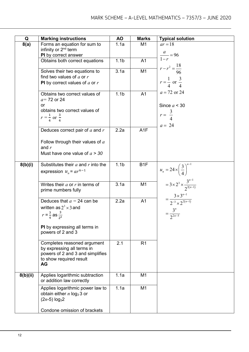| Q        | <b>Marking instructions</b>               | AO               | <b>Marks</b>     | <b>Typical solution</b>                            |
|----------|-------------------------------------------|------------------|------------------|----------------------------------------------------|
| 8(a)     | Forms an equation for sum to              | 1.1a             | M1               | $ar = 18$                                          |
|          | infinity or 2 <sup>nd</sup> term          |                  |                  |                                                    |
|          | PI by correct answer                      |                  |                  | $\frac{a}{1-r} = 96$                               |
|          | Obtains both correct equations            | 1.1 <sub>b</sub> | A <sub>1</sub>   |                                                    |
|          |                                           |                  |                  | $r - r^2 = \frac{18}{96}$                          |
|          | Solves their two equations to             | 3.1a             | M <sub>1</sub>   |                                                    |
|          | find two values of $a$ or $r$             |                  |                  | $r = \frac{1}{4}$ or $\frac{3}{4}$                 |
|          | <b>PI</b> by correct values of $a$ or $r$ |                  |                  |                                                    |
|          |                                           |                  |                  | $a = 72$ or 24                                     |
|          | Obtains two correct values of             | 1.1 <sub>b</sub> | A <sub>1</sub>   |                                                    |
|          | $a=72$ or 24                              |                  |                  |                                                    |
|          | or                                        |                  |                  | Since $a < 30$                                     |
|          | obtains two correct values of             |                  |                  | $r = \frac{3}{4}$                                  |
|          | $r = \frac{1}{4}$ or $\frac{3}{4}$        |                  |                  |                                                    |
|          |                                           |                  |                  | $a = 24$                                           |
|          | Deduces correct pair of $a$ and $r$       | 2.2a             | A <sub>1</sub> F |                                                    |
|          |                                           |                  |                  |                                                    |
|          | Follow through their values of $a$        |                  |                  |                                                    |
|          | and $r$                                   |                  |                  |                                                    |
|          | Must have one value of $a > 30$           |                  |                  |                                                    |
|          |                                           |                  |                  |                                                    |
| 8(b)(i)  | Substitutes their $a$ and $r$ into the    | 1.1 <sub>b</sub> | B <sub>1</sub> F |                                                    |
|          | expression $u_n = ar^{n-1}$               |                  |                  | $u_n = 24 \times \left(\frac{3}{4}\right)^{n-1}$   |
|          |                                           |                  |                  |                                                    |
|          | Writes their $a$ or $r$ in terms of       | 3.1a             | M <sub>1</sub>   | = $3 \times 2^3 \times \frac{3^{n-1}}{2^{2(n-1)}}$ |
|          | prime numbers fully                       |                  |                  |                                                    |
|          |                                           |                  |                  |                                                    |
|          | Deduces that $a = 24$ can be              | 2.2a             | A <sub>1</sub>   | $=\frac{3\times3^{n-1}}{2^{-3}\times2^{2(n-1)}}$   |
|          | written as $2^3 \times 3$ and             |                  |                  |                                                    |
|          |                                           |                  |                  | $=\frac{3^n}{2^{2n-5}}$                            |
|          | $r = \frac{3}{4}$ as $\frac{3}{2^2}$      |                  |                  |                                                    |
|          |                                           |                  |                  |                                                    |
|          | PI by expressing all terms in             |                  |                  |                                                    |
|          | powers of 2 and 3                         |                  |                  |                                                    |
|          |                                           |                  |                  |                                                    |
|          | Completes reasoned argument               | 2.1              | R1               |                                                    |
|          | by expressing all terms in                |                  |                  |                                                    |
|          | powers of 2 and 3 and simplifies          |                  |                  |                                                    |
|          | to show required result<br><b>AG</b>      |                  |                  |                                                    |
|          |                                           |                  |                  |                                                    |
| 8(b)(ii) | Applies logarithmic subtraction           | 1.1a             | M <sub>1</sub>   |                                                    |
|          | or addition law correctly                 |                  |                  |                                                    |
|          |                                           |                  |                  |                                                    |
|          | Applies logarithmic power law to          | 1.1a             | M <sub>1</sub>   |                                                    |
|          | obtain either $n \log_3 3$ or             |                  |                  |                                                    |
|          | $(2n-5)$ log <sub>3</sub> 2               |                  |                  |                                                    |
|          |                                           |                  |                  |                                                    |
|          | Condone omission of brackets              |                  |                  |                                                    |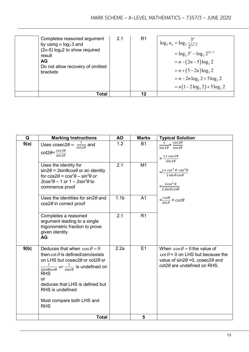| Completes reasoned argument<br>by using $n \log_3 3$ and<br>$(2n-5)$ log <sub>3</sub> 2 to show required<br>result<br><b>AG</b><br>Do not allow recovery of omitted<br>brackets | 2.1 | R <sub>1</sub> | <sup>1</sup> $\log_3 u_n = \log_3 \frac{3^n}{2^{2n-5}}$<br>$=$ $\log_3 3^n - \log_3 2^{2n-5}$<br>$= n - (2n - 5) \log_3 2$<br>$= n + (5-2n) \log_3 2$<br>$= n - 2n \log_3 2 + 5 \log_3 2$<br>$= n(1-2\log_3 2) + 5\log_3 2$ |
|---------------------------------------------------------------------------------------------------------------------------------------------------------------------------------|-----|----------------|-----------------------------------------------------------------------------------------------------------------------------------------------------------------------------------------------------------------------------|
| Total                                                                                                                                                                           |     | 12             |                                                                                                                                                                                                                             |

| Q    | <b>Marking Instructions</b>                                                                                                                                                                                                                                                                                              | <b>AO</b>        | <b>Marks</b>   | <b>Typical Solution</b>                                                                                                                                                  |
|------|--------------------------------------------------------------------------------------------------------------------------------------------------------------------------------------------------------------------------------------------------------------------------------------------------------------------------|------------------|----------------|--------------------------------------------------------------------------------------------------------------------------------------------------------------------------|
| 9(a) | Uses $\csc2\theta = \frac{1}{\sin 2\theta}$ and                                                                                                                                                                                                                                                                          | 1.2              | <b>B1</b>      | $\frac{1}{\sin 2\theta} + \frac{\cos 2\theta}{\sin 2\theta}$                                                                                                             |
|      | $\cot 2\theta = \frac{\cos 2\theta}{\sin 2\theta}$                                                                                                                                                                                                                                                                       |                  |                | $=\frac{1+\cos 2\theta}{\cos \theta}$<br>$\sin 2\theta$                                                                                                                  |
|      | Uses the identity for<br>$sin2\theta = 2sin\theta cos\theta$ or an identity<br>for $cos2\theta = cos^2\theta - sin^2\theta$ or<br>$2\cos^2\theta - 1$ or $1 - 2\sin^2\theta$ to<br>commence proof                                                                                                                        | 2.1              | M1             | $=\frac{1+\cos^2\theta-\sin^2\theta}{2\sin\theta\cos\theta}$<br>$=$ $\frac{2\cos^2\theta}{\sin^2\theta}$<br>$2 \sin \theta cos \theta$                                   |
|      | Uses the identities for sin2 $\theta$ and<br>$cos2\theta$ in correct proof                                                                                                                                                                                                                                               | 1.1 <sub>b</sub> | A <sub>1</sub> | $=\frac{cos\theta}{sin\theta}=cot\theta$                                                                                                                                 |
|      | Completes a reasoned<br>argument leading to a single<br>trigonometric fraction to prove<br>given identity<br><b>AG</b>                                                                                                                                                                                                   | 2.1              | R1             |                                                                                                                                                                          |
| 9(b) | Deduces that when $\cos \theta = 0$<br>then cot $\theta$ is defined/zero/exists<br>on LHS but cosec20 or cot20 or<br>$\frac{1}{2\sin\theta\cos\theta}$ or $\frac{1}{\sin 2\theta}$ is undefined on<br><b>RHS</b><br>or<br>deduces that LHS is defined but<br>RHS is undefined<br>Must compare both LHS and<br><b>RHS</b> | 2.2a             | E1             | When $\cos \theta = 0$ the value of<br>$\cot \theta = 0$ on LHS but because the<br>value of $sin2\theta = 0$ , cosec2 $\theta$ and<br>$cot2\theta$ are undefined on RHS. |
|      | <b>Total</b>                                                                                                                                                                                                                                                                                                             |                  | 5              |                                                                                                                                                                          |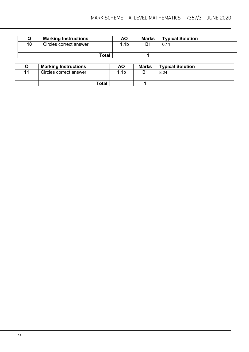|    | <b>Marking Instructions</b> | ΑO             | <b>Marks</b> | <b>Typical Solution</b> |
|----|-----------------------------|----------------|--------------|-------------------------|
| 10 | Circles correct answer      | 1 <sub>b</sub> | Β1           | 0.11                    |
|    |                             | Total          |              |                         |

|    | <b>Marking Instructions</b> | <b>AO</b>       | <b>Marks</b> | <b>Typical Solution</b> |
|----|-----------------------------|-----------------|--------------|-------------------------|
| 11 | Circles correct answer      | .1 <sub>b</sub> | B1           | 8.24                    |
|    | Total                       |                 |              |                         |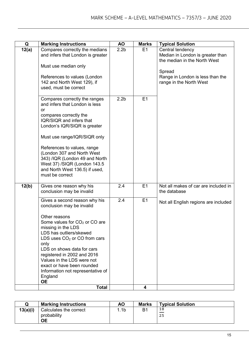| Q     | <b>Marking Instructions</b>                                                                                                                                                                                                                                                                                                                                                                     | <b>AO</b>        | <b>Marks</b> | <b>Typical Solution</b>                                                                                                                                       |
|-------|-------------------------------------------------------------------------------------------------------------------------------------------------------------------------------------------------------------------------------------------------------------------------------------------------------------------------------------------------------------------------------------------------|------------------|--------------|---------------------------------------------------------------------------------------------------------------------------------------------------------------|
| 12(a) | Compares correctly the medians<br>and infers that London is greater<br>Must use median only<br>References to values (London<br>142 and North West 129), if<br>used, must be correct                                                                                                                                                                                                             | 2.2 <sub>b</sub> | E1           | Central tendency<br>Median in London is greater than<br>the median in the North West<br>Spread<br>Range in London is less than the<br>range in the North West |
|       | Compares correctly the ranges<br>and infers that London is less<br>or<br>compares correctly the<br>IQR/SIQR and infers that<br>London's IQR/SIQR is greater<br>Must use range/IQR/SIQR only<br>References to values, range<br>(London 307 and North West<br>343) /IQR (London 49 and North<br>West 37) /SIQR (London 143.5<br>and North West 136.5) if used,<br>must be correct                 | 2.2 <sub>b</sub> | E1           |                                                                                                                                                               |
| 12(b) | Gives one reason why his<br>conclusion may be invalid                                                                                                                                                                                                                                                                                                                                           | 2.4              | E1           | Not all makes of car are included in<br>the database                                                                                                          |
|       | Gives a second reason why his<br>conclusion may be invalid<br>Other reasons<br>Some values for $CO2$ or CO are<br>missing in the LDS<br>LDS has outliers/skewed<br>LDS uses $CO2$ or CO from cars<br>only<br>LDS on shows data for cars<br>registered in 2002 and 2016<br>Values in the LDS were not<br>exact or have been rounded<br>Information not representative of<br>England<br><b>OE</b> | 2.4              | E1           | Not all English regions are included                                                                                                                          |
|       | <b>Total</b>                                                                                                                                                                                                                                                                                                                                                                                    |                  | 4            |                                                                                                                                                               |

|          | <b>Marking Instructions</b>                        | <b>AO</b> | <b>Marks</b>   | <b>Typical Solution</b> |
|----------|----------------------------------------------------|-----------|----------------|-------------------------|
| 13(a)(i) | Calculates the correct<br>probability<br><b>OE</b> | .1b       | B <sup>1</sup> | $\frac{18}{1}$<br>25    |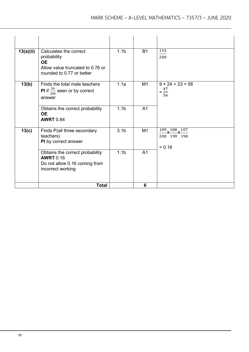|           | <b>Total</b>                                                                                                        |                  | 6              |                                                                             |
|-----------|---------------------------------------------------------------------------------------------------------------------|------------------|----------------|-----------------------------------------------------------------------------|
|           | Obtains the correct probability<br><b>AWRT</b> 0.16<br>Do not allow 0.16 coming from<br>incorrect working           | 1.1 <sub>b</sub> | A <sub>1</sub> |                                                                             |
| 13(c)     | Finds P(all three secondary<br>teachers)<br>PI by correct answer                                                    | 3.1 <sub>b</sub> | M1             | $\frac{109}{200} \times \frac{108}{199} \times \frac{107}{198}$<br>$= 0.16$ |
|           | Obtains the correct probability<br><b>OE</b><br><b>AWRT</b> 0.84                                                    | 1.1 <sub>b</sub> | A <sub>1</sub> |                                                                             |
| 13(b)     | Finds the total male teachers<br><b>PI</b> if $\frac{56}{200}$ seen or by correct<br>answer                         | 1.1a             | M1             | $9 + 24 + 23 = 56$<br>$=\frac{47}{1}$<br>56                                 |
| 13(a)(ii) | Calculates the correct<br>probability<br><b>OE</b><br>Allow value truncated to 0.76 or<br>rounded to 0.77 or better | 1.1 <sub>b</sub> | <b>B1</b>      | 153<br>200                                                                  |
|           |                                                                                                                     |                  |                |                                                                             |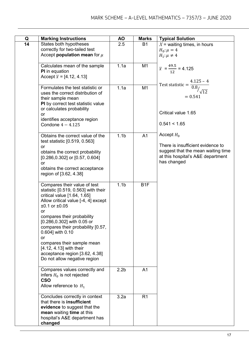| Q  | <b>Marking Instructions</b>                                                                                                                                                                                                                                                                                                                                                                                                              | ΑO               | <b>Marks</b>     | <b>Typical Solution</b>                                                                                                                     |
|----|------------------------------------------------------------------------------------------------------------------------------------------------------------------------------------------------------------------------------------------------------------------------------------------------------------------------------------------------------------------------------------------------------------------------------------------|------------------|------------------|---------------------------------------------------------------------------------------------------------------------------------------------|
| 14 | States both hypotheses<br>correctly for two-tailed test<br>Accept <b>population</b> mean for $\mu$                                                                                                                                                                                                                                                                                                                                       | 2.5              | <b>B1</b>        | $X$ = waiting times, in hours<br>$H_0: \mu = 4$<br>$H_1$ : $\mu \neq 4$                                                                     |
|    | Calculates mean of the sample<br><b>PI</b> in equation<br>Accept $\bar{x}$ = [4.12, 4.13]                                                                                                                                                                                                                                                                                                                                                | 1.1a             | M1               | $\overline{x} = \frac{49.5}{12} = 4.125$<br>$4.125 - 4$                                                                                     |
|    | Formulates the test statistic or<br>uses the correct distribution of<br>their sample mean<br>PI by correct test statistic value<br>or calculates probability<br>or<br>identifies acceptance region<br>Condone $4 - 4.125$                                                                                                                                                                                                                | 1.1a             | M <sub>1</sub>   | Test statistic = $\frac{1}{0.8}$<br>$\sqrt{12}$<br>$= 0.541$<br>Critical value 1.65<br>0.541 < 1.65                                         |
|    | Obtains the correct value of the<br>test statistic [0.519, 0.563]<br>or<br>obtains the correct probability<br>$[0.286, 0.302]$ or $[0.57, 0.604]$<br><b>or</b><br>obtains the correct acceptance<br>region of [3.62, 4.38]                                                                                                                                                                                                               | 1.1 <sub>b</sub> | A <sub>1</sub>   | Accept $H_0$<br>There is insufficient evidence to<br>suggest that the mean waiting time<br>at this hospital's A&E department<br>has changed |
|    | Compares their value of test<br>statistic [0.519, 0.563] with their<br>critical value [1.64, 1.65]<br>Allow critical value [-4, 4] except<br>$±0.1$ or $±0.05$<br><b>or</b><br>compares their probability<br>[0.286,0.302] with 0.05 or<br>compares their probability [0.57,<br>0.604] with 0.10<br><b>or</b><br>compares their sample mean<br>[4.12, 4.13] with their<br>acceptance region [3.62, 4.38]<br>Do not allow negative region | 1.1 <sub>b</sub> | B <sub>1</sub> F |                                                                                                                                             |
|    | Compares values correctly and<br>infers $H_0$ is not rejected<br><b>CSO</b><br>Allow reference to $H_1$                                                                                                                                                                                                                                                                                                                                  | 2.2 <sub>b</sub> | A <sub>1</sub>   |                                                                                                                                             |
|    | Concludes correctly in context<br>that there is <b>insufficient</b><br>evidence to suggest that the<br>mean waiting time at this<br>hospital's A&E department has<br>changed                                                                                                                                                                                                                                                             | 3.2a             | R <sub>1</sub>   |                                                                                                                                             |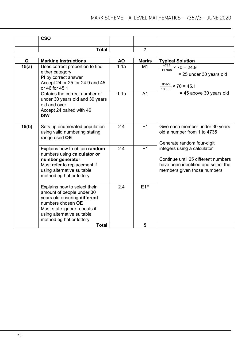| <b>CSO</b> |  |  |
|------------|--|--|
| Total      |  |  |

| Q     | <b>Marking Instructions</b>                                                                                                                                                                              | <b>AO</b>        | <b>Marks</b>    | <b>Typical Solution</b>                                                                                                                  |
|-------|----------------------------------------------------------------------------------------------------------------------------------------------------------------------------------------------------------|------------------|-----------------|------------------------------------------------------------------------------------------------------------------------------------------|
| 15(a) | Uses correct proportion to find<br>either category<br>PI by correct answer<br>Accept 24 or 25 for 24.9 and 45<br>or 46 for 45.1                                                                          | 1.1a             | M1              | $\frac{4735}{4735}$ × 70 = 24.9<br>13300<br>$= 25$ under 30 years old<br>$\frac{8565}{13300}$ × 70 = 45.1                                |
|       | Obtains the correct number of<br>under 30 years old and 30 years<br>old and over<br>Accept 24 paired with 46<br><b>ISW</b>                                                                               | 1.1 <sub>b</sub> | A <sub>1</sub>  | $= 45$ above 30 years old                                                                                                                |
| 15(b) | Sets up enumerated population<br>using valid numbering stating<br>range used OE                                                                                                                          | 2.4              | E1              | Give each member under 30 years<br>old a number from 1 to 4735<br>Generate random four-digit                                             |
|       | Explains how to obtain random<br>numbers using calculator or<br>number generator<br>Must refer to replacement if<br>using alternative suitable<br>method eg hat or lottery                               | 2.4              | E1              | integers using a calculator<br>Continue until 25 different numbers<br>have been identified and select the<br>members given those numbers |
|       | Explains how to select their<br>amount of people under 30<br>years old ensuring different<br>numbers chosen OE<br>Must state ignore repeats if<br>using alternative suitable<br>method eg hat or lottery | 2.4              | E <sub>1F</sub> |                                                                                                                                          |
|       | <b>Total</b>                                                                                                                                                                                             |                  | 5               |                                                                                                                                          |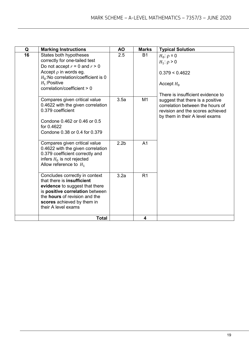| Q  | <b>Marking Instructions</b>                                                                                                                                                                                                           | <b>AO</b>        | <b>Marks</b>   | <b>Typical Solution</b>                                                                                                                    |
|----|---------------------------------------------------------------------------------------------------------------------------------------------------------------------------------------------------------------------------------------|------------------|----------------|--------------------------------------------------------------------------------------------------------------------------------------------|
| 16 | States both hypotheses<br>correctly for one-tailed test<br>Do not accept $r = 0$ and $r > 0$<br>Accept $\rho$ in words eg.<br>$H_0$ :No correlation/coefficient is 0<br>$H_1$ : Positive<br>correlation/coefficient > 0               | 2.5              | <b>B1</b>      | $H_0$ : $\rho = 0$<br>$H_1$ : $\rho > 0$<br>0.379 < 0.4622<br>Accept $H_0$<br>There is insufficient evidence to                            |
|    | Compares given critical value<br>0.4622 with the given correlation<br>0.379 coefficient<br>Condone 0.462 or 0.46 or 0.5<br>for 0.4622<br>Condone 0.38 or 0.4 for 0.379                                                                | 3.5a             | M <sub>1</sub> | suggest that there is a positive<br>correlation between the hours of<br>revision and the scores achieved<br>by them in their A level exams |
|    | Compares given critical value<br>0.4622 with the given correlation<br>0.379 coefficient correctly and<br>infers $H_0$ is not rejected<br>Allow reference to $H_1$                                                                     | 2.2 <sub>b</sub> | A <sub>1</sub> |                                                                                                                                            |
|    | Concludes correctly in context<br>that there is <b>insufficient</b><br>evidence to suggest that there<br>is positive correlation between<br>the <b>hours</b> of revision and the<br>scores achieved by them in<br>their A level exams | 3.2a             | R <sub>1</sub> |                                                                                                                                            |
|    | <b>Total</b>                                                                                                                                                                                                                          |                  | 4              |                                                                                                                                            |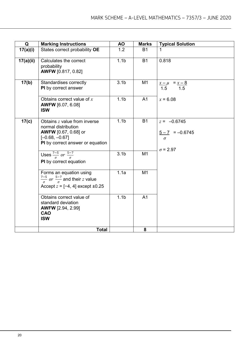| Q         | <b>Marking Instructions</b>                                                                                                                | <b>AO</b>        | <b>Marks</b>   | <b>Typical Solution</b>                                           |
|-----------|--------------------------------------------------------------------------------------------------------------------------------------------|------------------|----------------|-------------------------------------------------------------------|
| 17(a)(i)  | States correct probability OE                                                                                                              | 1.2              | <b>B1</b>      | 1                                                                 |
| 17(a)(ii) | Calculates the correct<br>probability<br><b>AWFW</b> [0.817, 0.82]                                                                         | 1.1 <sub>b</sub> | <b>B1</b>      | 0.818                                                             |
| 17(b)     | Standardises correctly<br>PI by correct answer                                                                                             | 3.1 <sub>b</sub> | M <sub>1</sub> | $\frac{x-\mu}{1.5} = \frac{x-8}{1.5}$                             |
|           | Obtains correct value of $x$<br><b>AWFW</b> [6.07, 6.08]<br><b>ISW</b>                                                                     | 1.1 <sub>b</sub> | A <sub>1</sub> | $x = 6.08$                                                        |
| 17(c)     | Obtains z value from inverse<br>normal distribution<br><b>AWFW</b> [0.67, 0.68] or<br>$[-0.68, -0.67]$<br>PI by correct answer or equation | 1.1 <sub>b</sub> | <b>B1</b>      | $z = -0.6745$<br>$5 - 7 = -0.6745$<br>$\sigma$<br>$\sigma$ = 2.97 |
|           | Uses $\frac{7-5}{\sigma}$ or $\frac{5-7}{\sigma}$<br>PI by correct equation                                                                | 3.1 <sub>b</sub> | M1             |                                                                   |
|           | Forms an equation using<br>$\frac{7-5}{a}$ or $\frac{5-7}{a}$ and their z value<br>Accept $z = [-4, 4]$ except $\pm 0.25$                  | 1.1a             | M <sub>1</sub> |                                                                   |
|           | Obtains correct value of<br>standard deviation<br><b>AWFW</b> [2.94, 2.99]<br>CAO<br><b>ISW</b>                                            | 1.1 <sub>b</sub> | A <sub>1</sub> |                                                                   |
|           | <b>Total</b>                                                                                                                               |                  | 8              |                                                                   |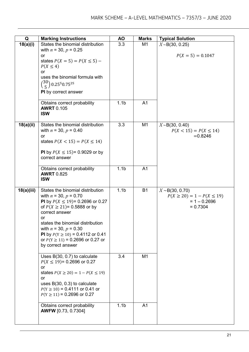| Q          | <b>Marking Instructions</b>                                                                                                                                                                                                                                                                                                              | <b>AO</b>        | <b>Marks</b>   | <b>Typical Solution</b>                                                                 |
|------------|------------------------------------------------------------------------------------------------------------------------------------------------------------------------------------------------------------------------------------------------------------------------------------------------------------------------------------------|------------------|----------------|-----------------------------------------------------------------------------------------|
| 18(a)(i)   | States the binomial distribution<br>with $n = 30$ , $p = 0.25$<br>or<br>states $P(X = 5) = P(X \le 5) -$<br>$P(X \leq 4)$<br><b>or</b><br>uses the binomial formula with<br>$\binom{30}{5}$ 0.25 <sup>5</sup> 0.75 <sup>25</sup><br><b>PI</b> by correct answer                                                                          | 3.3              | M1             | $X \sim B(30, 0.25)$<br>$P(X = 5) = 0.1047$                                             |
|            | Obtains correct probability<br><b>AWRT 0.105</b><br><b>ISW</b>                                                                                                                                                                                                                                                                           | 1.1 <sub>b</sub> | A <sub>1</sub> |                                                                                         |
| 18(a)(ii)  | States the binomial distribution<br>with $n = 30$ , $p = 0.40$<br>or<br>states $P(X < 15) = P(X \le 14)$<br><b>PI</b> by $P(X \le 15) = 0.9029$ or by<br>correct answer                                                                                                                                                                  | 3.3              | M <sub>1</sub> | $X \sim B(30, 0.40)$<br>$P(X < 15) = P(X \le 14)$<br>$= 0.8246$                         |
|            | Obtains correct probability<br><b>AWRT 0.825</b><br><b>ISW</b>                                                                                                                                                                                                                                                                           | 1.1 <sub>b</sub> | A <sub>1</sub> |                                                                                         |
| 18(a)(iii) | States the binomial distribution<br>with $n = 30$ , $p = 0.70$<br>PI by $P(X \le 19) = 0.2696$ or 0.27<br>of $P(X \ge 21) = 0.5888$ or by<br>correct answer<br>or<br>states the binomial distribution<br>with $n = 30$ , $p = 0.30$<br>Pl by $P(Y \ge 10) = 0.4112$ or 0.41<br>or $P(Y \ge 11) = 0.2696$ or 0.27 or<br>by correct answer | 1.1 <sub>b</sub> | <b>B1</b>      | $X \sim B(30, 0.70)$<br>$P(X \ge 20) = 1 - P(X \le 19)$<br>$= 1 - 0.2696$<br>$= 0.7304$ |
|            | Uses B(30, 0.7) to calculate<br>$P(X \le 19)$ = 0.2696 or 0.27<br>or<br>states $P(X \ge 20) = 1 - P(X \le 19)$<br><b>or</b><br>uses $B(30, 0.3)$ to calculate<br>$P(Y \ge 10) = 0.4111$ or 0.41 or<br>$P(Y \ge 11) = 0.2696$ or 0.27                                                                                                     | 3.4              | M <sub>1</sub> |                                                                                         |
|            | Obtains correct probability<br><b>AWFW</b> [0.73, 0.7304]                                                                                                                                                                                                                                                                                | 1.1 <sub>b</sub> | A <sub>1</sub> |                                                                                         |